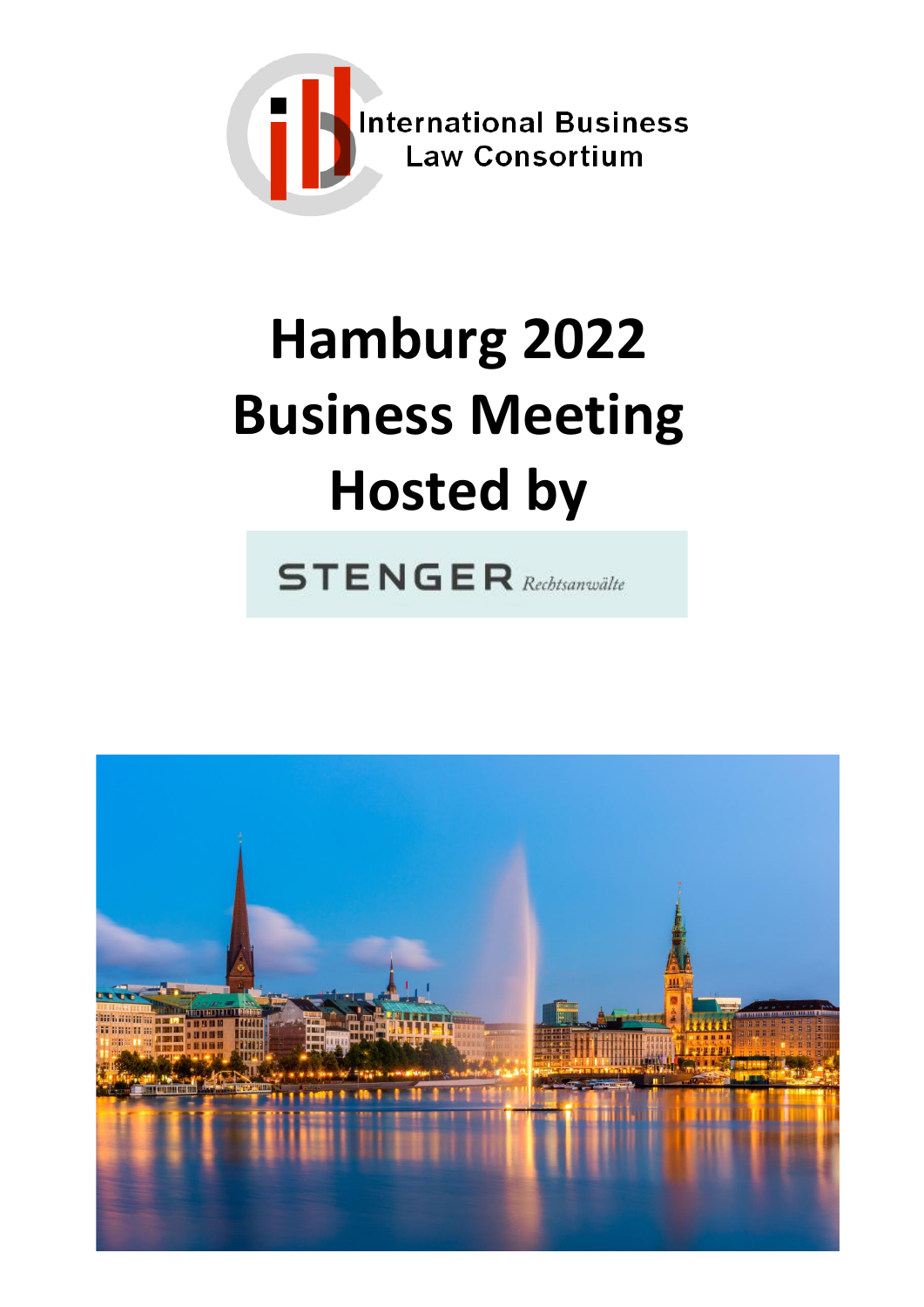

# **Hamburg 2022 Business Meeting Hosted by**

**STENGER** Rechtsanwälte

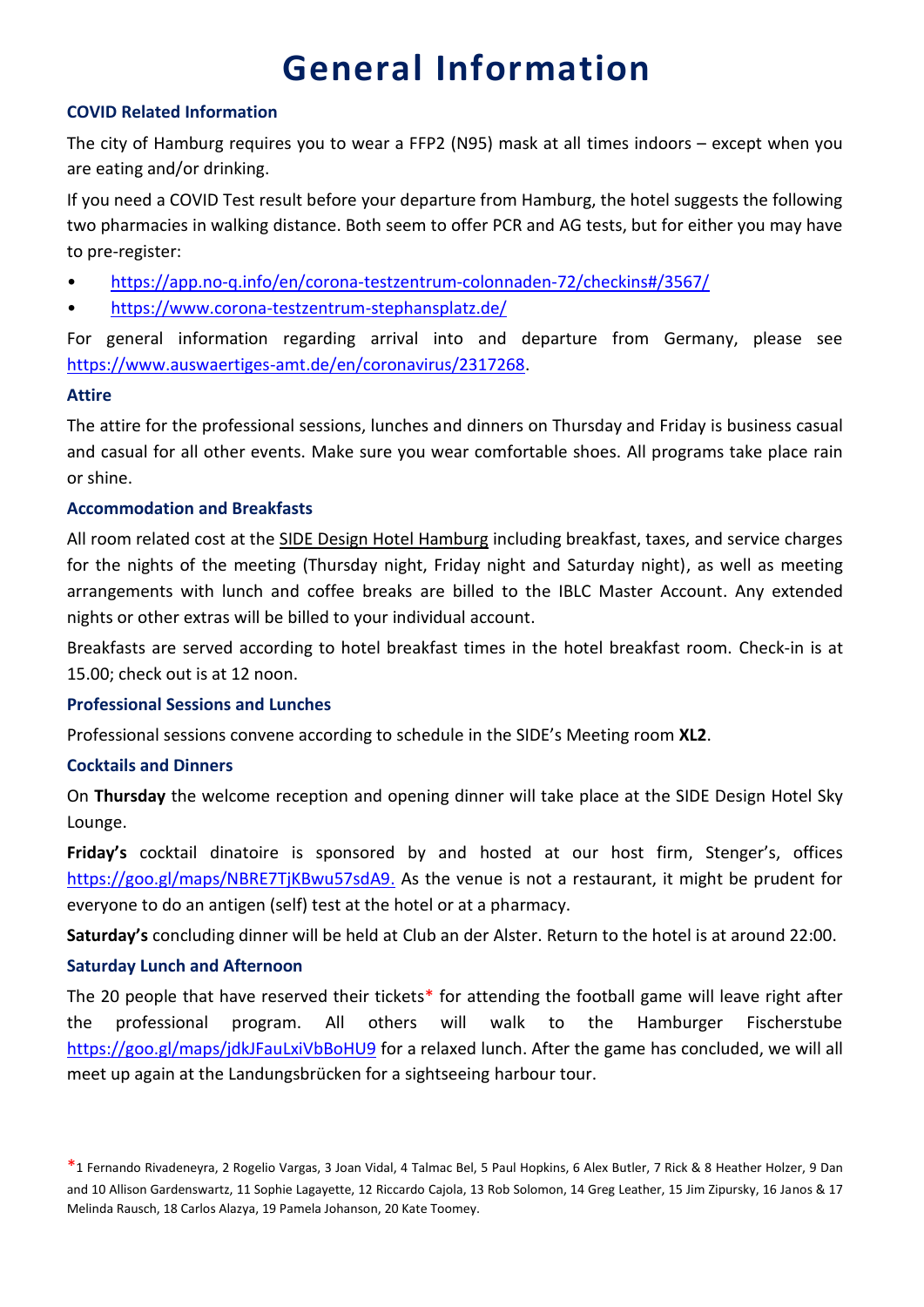### **General Information**

#### **COVID Related Information**

The city of Hamburg requires you to wear a FFP2 (N95) mask at all times indoors – except when you are eating and/or drinking.

If you need a COVID Test result before your departure from Hamburg, the hotel suggests the following two pharmacies in walking distance. Both seem to offer PCR and AG tests, but for either you may have to pre-register:

- <https://app.no-q.info/en/corona-testzentrum-colonnaden-72/checkins#/3567/>
- <https://www.corona-testzentrum-stephansplatz.de/>

For general information regarding arrival into and departure from Germany, please see [https://www.auswaertiges-amt.de/en/coronavirus/2317268.](https://www.auswaertiges-amt.de/en/coronavirus/2317268)

#### **Attire**

The attire for the professional sessions, lunches and dinners on Thursday and Friday is business casual and casual for all other events. Make sure you wear comfortable shoes. All programs take place rain or shine.

#### **Accommodation and Breakfasts**

All room related cost at the SIDE Design Hotel Hamburg including breakfast, taxes, and service charges for the nights of the meeting (Thursday night, Friday night and Saturday night), as well as meeting arrangements with lunch and coffee breaks are billed to the IBLC Master Account. Any extended nights or other extras will be billed to your individual account.

Breakfasts are served according to hotel breakfast times in the hotel breakfast room. Check-in is at 15.00; check out is at 12 noon.

#### **Professional Sessions and Lunches**

Professional sessions convene according to schedule in the SIDE's Meeting room **XL2**.

#### **Cocktails and Dinners**

On **Thursday** the welcome reception and opening dinner will take place at the SIDE Design Hotel Sky Lounge.

**Friday's** cocktail dinatoire is sponsored by and hosted at our host firm, Stenger's, offices [https://goo.gl/maps/NBRE7TjKBwu57sdA9.](https://goo.gl/maps/NBRE7TjKBwu57sdA9) As the venue is not a restaurant, it might be prudent for everyone to do an antigen (self) test at the hotel or at a pharmacy.

**Saturday's** concluding dinner will be held at Club an der Alster. Return to the hotel is at around 22:00.

#### **Saturday Lunch and Afternoon**

The 20 people that have reserved their tickets\* for attending the football game will leave right after the professional program. All others will walk to the Hamburger Fischerstube <https://goo.gl/maps/jdkJFauLxiVbBoHU9> for a relaxed lunch. After the game has concluded, we will all meet up again at the Landungsbrücken for a sightseeing harbour tour.

<sup>\*</sup>1 Fernando Rivadeneyra, 2 Rogelio Vargas, 3 Joan Vidal, 4 Talmac Bel, 5 Paul Hopkins, 6 Alex Butler, 7 Rick & 8 Heather Holzer, 9 Dan and 10 Allison Gardenswartz, 11 Sophie Lagayette, 12 Riccardo Cajola, 13 Rob Solomon, 14 Greg Leather, 15 Jim Zipursky, 16 Janos & 17 Melinda Rausch, 18 Carlos Alazya, 19 Pamela Johanson, 20 Kate Toomey.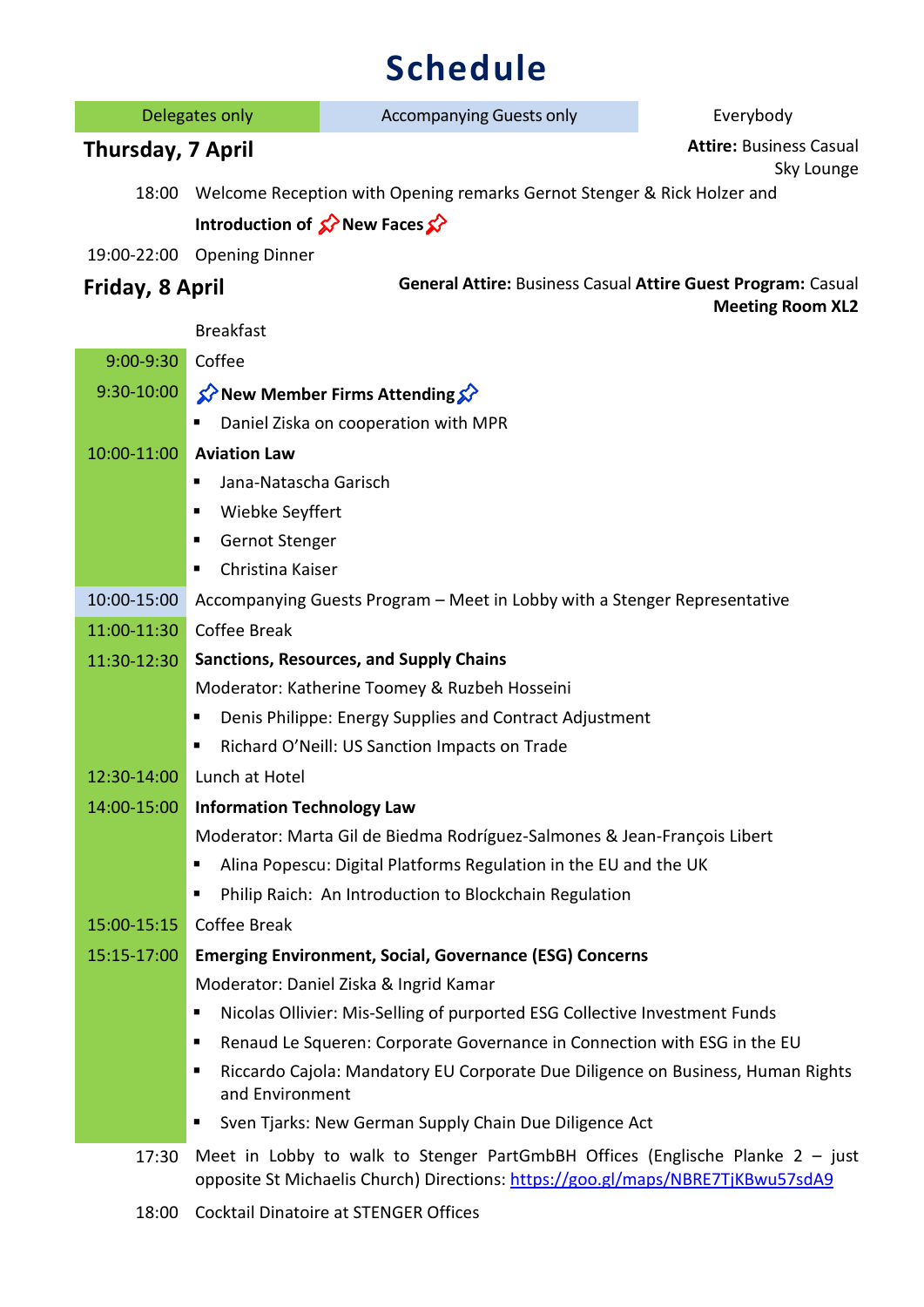## **Schedule**

| Delegates only    |                                                | <b>Accompanying Guests only</b>                                                                                                                                    | Everybody                                    |
|-------------------|------------------------------------------------|--------------------------------------------------------------------------------------------------------------------------------------------------------------------|----------------------------------------------|
| Thursday, 7 April |                                                |                                                                                                                                                                    | <b>Attire: Business Casual</b><br>Sky Lounge |
| 18:00             |                                                | Welcome Reception with Opening remarks Gernot Stenger & Rick Holzer and                                                                                            |                                              |
|                   |                                                | Introduction of $\mathcal{D}$ New Faces $\mathcal{D}$                                                                                                              |                                              |
|                   | 19:00-22:00 Opening Dinner                     |                                                                                                                                                                    |                                              |
| Friday, 8 April   |                                                | General Attire: Business Casual Attire Guest Program: Casual                                                                                                       |                                              |
|                   | <b>Breakfast</b>                               |                                                                                                                                                                    | <b>Meeting Room XL2</b>                      |
| $9:00-9:30$       | Coffee                                         |                                                                                                                                                                    |                                              |
| 9:30-10:00        |                                                | New Member Firms Attending $\mathcal{S}$                                                                                                                           |                                              |
|                   | п                                              | Daniel Ziska on cooperation with MPR                                                                                                                               |                                              |
| 10:00-11:00       | <b>Aviation Law</b>                            |                                                                                                                                                                    |                                              |
|                   | Jana-Natascha Garisch<br>п                     |                                                                                                                                                                    |                                              |
|                   | Wiebke Seyffert<br>п                           |                                                                                                                                                                    |                                              |
|                   | Gernot Stenger<br>п                            |                                                                                                                                                                    |                                              |
|                   | Christina Kaiser<br>п                          |                                                                                                                                                                    |                                              |
| 10:00-15:00       |                                                | Accompanying Guests Program - Meet in Lobby with a Stenger Representative                                                                                          |                                              |
| 11:00-11:30       | <b>Coffee Break</b>                            |                                                                                                                                                                    |                                              |
| 11:30-12:30       | <b>Sanctions, Resources, and Supply Chains</b> |                                                                                                                                                                    |                                              |
|                   |                                                | Moderator: Katherine Toomey & Ruzbeh Hosseini                                                                                                                      |                                              |
|                   | п                                              | Denis Philippe: Energy Supplies and Contract Adjustment                                                                                                            |                                              |
|                   | п                                              | Richard O'Neill: US Sanction Impacts on Trade                                                                                                                      |                                              |
| 12:30-14:00       | Lunch at Hotel                                 |                                                                                                                                                                    |                                              |
| 14:00-15:00       | <b>Information Technology Law</b>              |                                                                                                                                                                    |                                              |
|                   |                                                | Moderator: Marta Gil de Biedma Rodríguez-Salmones & Jean-François Libert                                                                                           |                                              |
|                   | п                                              | Alina Popescu: Digital Platforms Regulation in the EU and the UK                                                                                                   |                                              |
|                   | п                                              | Philip Raich: An Introduction to Blockchain Regulation                                                                                                             |                                              |
| 15:00-15:15       | Coffee Break                                   |                                                                                                                                                                    |                                              |
| 15:15-17:00       |                                                | <b>Emerging Environment, Social, Governance (ESG) Concerns</b>                                                                                                     |                                              |
|                   |                                                | Moderator: Daniel Ziska & Ingrid Kamar                                                                                                                             |                                              |
|                   | Е                                              | Nicolas Ollivier: Mis-Selling of purported ESG Collective Investment Funds                                                                                         |                                              |
|                   | п<br>п                                         | Renaud Le Squeren: Corporate Governance in Connection with ESG in the EU<br>Riccardo Cajola: Mandatory EU Corporate Due Diligence on Business, Human Rights        |                                              |
|                   | and Environment                                |                                                                                                                                                                    |                                              |
|                   | п                                              | Sven Tjarks: New German Supply Chain Due Diligence Act                                                                                                             |                                              |
| 17:30             |                                                | Meet in Lobby to walk to Stenger PartGmbBH Offices (Englische Planke $2 -$ just<br>opposite St Michaelis Church) Directions: https://goo.gl/maps/NBRE7TjKBwu57sdA9 |                                              |